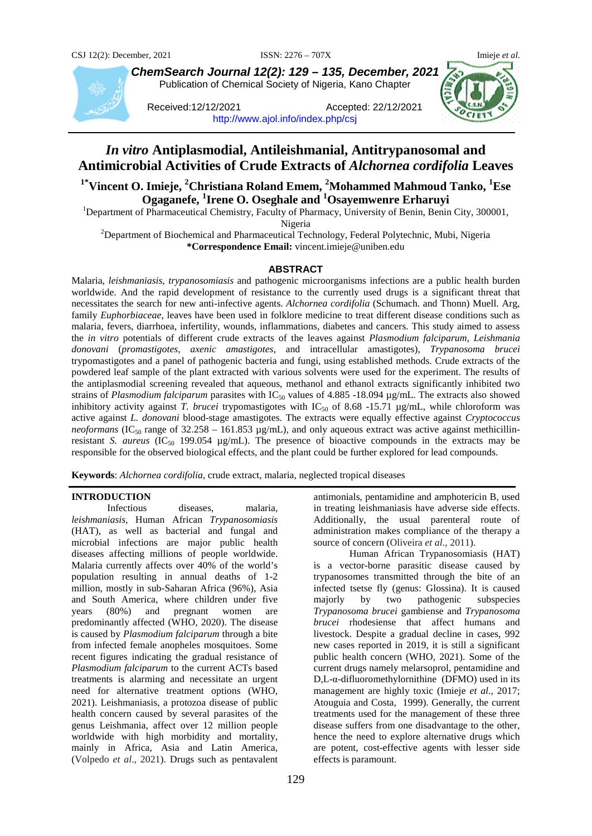

*ChemSearch Journal 12(2): 129 – 135, December, 2021* Publication of Chemical Society of Nigeria, Kano Chapter

Received:12/12/2021 Accepted: 22/12/2021 <http://www.ajol.info/index.php/csj>

# *In vitro* **Antiplasmodial, Antileishmanial, Antitrypanosomal and Antimicrobial Activities of Crude Extracts of** *Alchornea cordifolia* **Leaves**

<sup>1\*</sup>Vincent O. Imieje, <sup>2</sup>Christiana Roland Emem, <sup>2</sup>Mohammed Mahmoud Tanko, <sup>1</sup>Ese **Ogaganefe, <sup>1</sup>Irene O. Oseghale and <sup>1</sup>Osayemwenre Erharuyi** <sup>1</sup> Department of Pharmacoutical Chamistry, Equality of Pharmacy, University of Bonin, Bonin

<sup>1</sup>Department of Pharmaceutical Chemistry, Faculty of Pharmacy, University of Benin, Benin City, 300001, Nigeria <sup>2</sup> Department of Biochemical and Pharmaceutical Technology, Federal Polytechnic, Mubi, Nigeria

**\*Correspondence Email:** vincent.imieje@uniben.edu

# **ABSTRACT**

Malaria, *leishmaniasis*, *trypanosomiasis* and pathogenic microorganisms infections are a public health burden worldwide. And the rapid development of resistance to the currently used drugs is a significant threat that necessitates the search for new anti-infective agents. *Alchornea cordifolia* (Schumach. and Thonn) Muell. Arg, family *Euphorbiaceae*, leaves have been used in folklore medicine to treat different disease conditions such as malaria, fevers, diarrhoea, infertility, wounds, inflammations, diabetes and cancers. This study aimed to assess the *in vitro* potentials of different crude extracts of the leaves against *Plasmodium falciparum, Leishmania donovani* (*promastigotes*, *axenic amastigotes*, and intracellular amastigotes), *Trypanosoma brucei*  trypomastigotes and a panel of pathogenic bacteria and fungi, using established methods. Crude extracts of the powdered leaf sample of the plant extracted with various solvents were used for the experiment. The results of the antiplasmodial screening revealed that aqueous, methanol and ethanol extracts significantly inhibited two strains of *Plasmodium falciparum* parasites with  $IC_{50}$  values of 4.885 -18.094  $\mu$ g/mL. The extracts also showed inhibitory activity against *T. brucei* trypomastigotes with IC<sub>50</sub> of 8.68 -15.71 µg/mL, while chloroform was active against *L. donovani* blood-stage amastigotes. The extracts were equally effective against *Cryptococcus neoformans* (IC<sub>50</sub> range of 32.258 – 161.853  $\mu$ g/mL), and only aqueous extract was active against methicillinresistant *S. aureus* ( $IC_{50}$  199.054  $\mu$ g/mL). The presence of bioactive compounds in the extracts may be responsible for the observed biological effects, and the plant could be further explored for lead compounds.

**Keywords**: *Alchornea cordifolia*, crude extract, malaria, neglected tropical diseases

# **INTRODUCTION**

Infectious diseases, malaria, *leishmaniasis*, Human African *Trypanosomiasis* (HAT), as well as bacterial and fungal and microbial infections are major public health diseases affecting millions of people worldwide. Malaria currently affects over 40% of the world's population resulting in annual deaths of 1-2 million, mostly in sub-Saharan Africa (96%), Asia and South America, where children under five years (80%) and pregnant women are predominantly affected (WHO, 2020). The disease is caused by *Plasmodium falciparum* through a bite from infected female anopheles mosquitoes. Some recent figures indicating the gradual resistance of *Plasmodium falciparum* to the current ACTs based treatments is alarming and necessitate an urgent need for alternative treatment options (WHO, 2021). Leishmaniasis, a protozoa disease of public health concern caused by several parasites of the genus Leishmania, affect over 12 million people worldwide with high morbidity and mortality, mainly in Africa, Asia and Latin America, (Volpedo *et al*., 2021). Drugs such as pentavalent

antimonials, pentamidine and amphotericin B, used in treating leishmaniasis have adverse side effects. Additionally, the usual parenteral route of administration makes compliance of the therapy a source of concern (Oliveira *et al*., 2011).

Human African Trypanosomiasis (HAT) is a vector-borne parasitic disease caused by trypanosomes transmitted through the bite of an infected tsetse fly (genus: Glossina). It is caused majorly by two pathogenic subspecies *Trypanosoma brucei* gambiense and *Trypanosoma brucei* rhodesiense that affect humans and livestock. Despite a gradual decline in cases, 992 new cases reported in 2019, it is still a significant public health concern (WHO, 2021). Some of the current drugs namely melarsoprol, pentamidine and D,L-α-difluoromethylornithine (DFMO) used in its management are highly toxic (Imieje *et al*., 2017; Atouguia and Costa, 1999). Generally, the current treatments used for the management of these three disease suffers from one disadvantage to the other, hence the need to explore alternative drugs which are potent, cost-effective agents with lesser side effects is paramount.

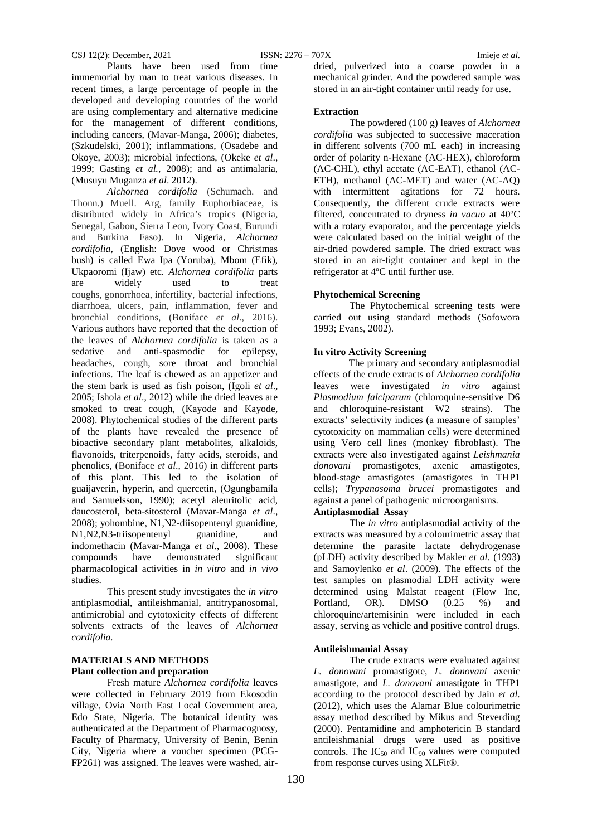Plants have been used from time immemorial by man to treat various diseases. In recent times, a large percentage of people in the developed and developing countries of the world are using complementary and alternative medicine for the management of different conditions, including cancers, (Mavar-Manga, 2006); diabetes, (Szkudelski, 2001); inflammations, (Osadebe and Okoye, 2003); microbial infections, (Okeke *et al*., 1999; Gasting *et al.,* 2008); and as antimalaria, (Musuyu Muganza *et al*. 2012).

*Alchornea cordifolia* (Schumach. and Thonn.) Muell. Arg, family Euphorbiaceae, is distributed widely in Africa's tropics (Nigeria, Senegal, Gabon, Sierra Leon, Ivory Coast, Burundi and Burkina Faso). In Nigeria, *Alchornea cordifolia*, (English: Dove wood or Christmas bush) is called Ewa Ipa (Yoruba), Mbom (Efik), Ukpaoromi (Ijaw) etc. *Alchornea cordifolia* parts are widely used to treat coughs, [gonorrhoea,](https://www.sciencedirect.com/topics/pharmacology-toxicology-and-pharmaceutical-science/gonorrhea) [infertility,](https://www.sciencedirect.com/topics/pharmacology-toxicology-and-pharmaceutical-science/infertility) bacterial infections, diarrhoea, ulcers, pain, inflammation, fever and bronchial conditions, (Boniface *et al*., 2016). Various authors have reported that the decoction of the leaves of *Alchornea cordifolia* is taken as a sedative and anti-spasmodic for epilepsy, headaches, cough, sore throat and bronchial infections. The leaf is chewed as an appetizer and the stem bark is used as fish poison, (Igoli *et al*., 2005; Ishola *et al*., 2012) while the dried leaves are smoked to treat cough, (Kayode and Kayode, 2008). Phytochemical studies of the different parts of the plants have revealed the presence of bioactive secondary plant metabolites, alkaloids, flavonoids, triterpenoids, fatty acids, steroids, and phenolics, (Boniface *et al*., 2016) in different parts of this plant. This led to the isolation of guaijaverin, hyperin, and quercetin, (Ogungbamila and Samuelsson, 1990); acetyl aleuritolic acid, daucosterol, beta-sitosterol (Mavar-Manga *et al*., 2008); yohombine, N1,N2-diisopentenyl guanidine, N1,N2,N3-triisopentenyl guanidine, and indomethacin (Mavar-Manga *et al*., 2008). These compounds have demonstrated significant pharmacological activities in *in vitro* and *in vivo* studies.

This present study investigates the *in vitro*  antiplasmodial, antileishmanial, antitrypanosomal, antimicrobial and cytotoxicity effects of different solvents extracts of the leaves of *Alchornea cordifolia.* 

# **MATERIALS AND METHODS Plant collection and preparation**

Fresh mature *Alchornea cordifolia* leaves were collected in February 2019 from Ekosodin village, Ovia North East Local Government area, Edo State, Nigeria. The botanical identity was authenticated at the Department of Pharmacognosy, Faculty of Pharmacy, University of Benin, Benin City, Nigeria where a voucher specimen (PCG-FP261) was assigned. The leaves were washed, airdried, pulverized into a coarse powder in a mechanical grinder. And the powdered sample was stored in an air-tight container until ready for use.

#### **Extraction**

The powdered (100 g) leaves of *Alchornea cordifolia* was subjected to successive maceration in different solvents (700 mL each) in increasing order of polarity n-Hexane (AC-HEX), chloroform (AC-CHL), ethyl acetate (AC-EAT), ethanol (AC-ETH), methanol (AC-MET) and water (AC-AQ) with intermittent agitations for 72 hours. Consequently, the different crude extracts were filtered, concentrated to dryness *in vacuo* at 40ºC with a rotary evaporator, and the percentage yields were calculated based on the initial weight of the air-dried powdered sample. The dried extract was stored in an air-tight container and kept in the refrigerator at 4ºC until further use.

## **Phytochemical Screening**

The Phytochemical screening tests were carried out using standard methods (Sofowora 1993; Evans, 2002).

## **In vitro Activity Screening**

The primary and secondary antiplasmodial effects of the crude extracts of *Alchornea cordifolia*  leaves were investigated *in vitro* against *Plasmodium falciparum* (chloroquine-sensitive D6 and chloroquine-resistant W2 strains). The extracts' selectivity indices (a measure of samples' cytotoxicity on mammalian cells) were determined using Vero cell lines (monkey fibroblast). The extracts were also investigated against *Leishmania donovani* promastigotes, axenic amastigotes, blood-stage amastigotes (amastigotes in THP1 cells); *Trypanosoma brucei* promastigotes and against a panel of pathogenic microorganisms.

## **Antiplasmodial Assay**

The *in vitro* antiplasmodial activity of the extracts was measured by a colourimetric assay that determine the parasite lactate dehydrogenase (pLDH) activity described by Makler *et al*. (1993) and Samoylenko *et al*. (2009). The effects of the test samples on plasmodial LDH activity were determined using Malstat reagent (Flow Inc,<br>Portland, OR). DMSO (0.25 %) and Portland, OR). DMSO  $(0.25 \degree 96)$  and chloroquine/artemisinin were included in each assay, serving as vehicle and positive control drugs.

## **Antileishmanial Assay**

The crude extracts were evaluated against *L. donovani* promastigote, *L. donovani* axenic amastigote, and *L. donovani* amastigote in THP1 according to the protocol described by Jain *et al*. (2012), which uses the Alamar Blue colourimetric assay method described by Mikus and Steverding (2000). Pentamidine and amphotericin B standard antileishmanial drugs were used as positive controls. The  $IC_{50}$  and  $IC_{90}$  values were computed from response curves using XLFit®.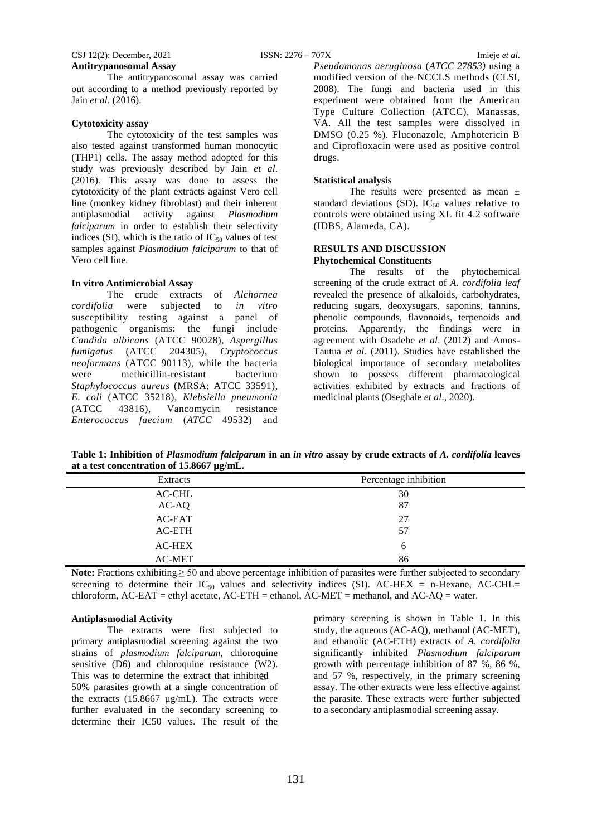The antitrypanosomal assay was carried out according to a method previously reported by Jain *et al*. (2016).

## **Cytotoxicity assay**

The cytotoxicity of the test samples was also tested against transformed human monocytic (THP1) cells. The assay method adopted for this study was previously described by Jain *et al*. (2016). This assay was done to assess the cytotoxicity of the plant extracts against Vero cell line (monkey kidney fibroblast) and their inherent antiplasmodial activity against *Plasmodium falciparum* in order to establish their selectivity indices (SI), which is the ratio of  $IC_{50}$  values of test samples against *Plasmodium falciparum* to that of Vero cell line.

## **In vitro Antimicrobial Assay**

The crude extracts of *Alchornea cordifolia* were subjected to *in vitro* susceptibility testing against a panel of pathogenic organisms: the fungi include *Candida albicans* (ATCC 90028), *Aspergillus fumigatus* (ATCC 204305), *Cryptococcus neoformans* (ATCC 90113), while the bacteria methicillin-resistant *Staphylococcus aureus* (MRSA; ATCC 33591), *E. coli* (ATCC 35218), *Klebsiella pneumonia*  (ATCC 43816), Vancomycin resistance *Enterococcus faecium* (*ATCC* 49532) and

*Pseudomonas aeruginosa* (*ATCC 27853)* using a modified version of the NCCLS methods (CLSI, 2008). The fungi and bacteria used in this experiment were obtained from the American Type Culture Collection (ATCC), Manassas, VA. All the test samples were dissolved in DMSO (0.25 %). Fluconazole, Amphotericin B and Ciprofloxacin were used as positive control drugs.

#### **Statistical analysis**

The results were presented as mean ± standard deviations (SD).  $IC_{50}$  values relative to controls were obtained using XL fit 4.2 software (IDBS, Alameda, CA).

## **RESULTS AND DISCUSSION Phytochemical Constituents**

The results of the phytochemical screening of the crude extract of *A. cordifolia leaf*  revealed the presence of alkaloids, carbohydrates, reducing sugars, deoxysugars, saponins, tannins, phenolic compounds, flavonoids, terpenoids and proteins. Apparently, the findings were in agreement with Osadebe *et al*. (2012) and Amos-Tautua *et al*. (2011). Studies have established the biological importance of secondary metabolites shown to possess different pharmacological activities exhibited by extracts and fractions of medicinal plants (Oseghale *et al*., 2020).

**Table 1: Inhibition of** *Plasmodium falciparum* **in an** *in vitro* **assay by crude extracts of** *A. cordifolia* **leaves at a test concentration of 15.8667 µg/mL.**

| Extracts      | Percentage inhibition |  |  |  |
|---------------|-----------------------|--|--|--|
| AC-CHL        | 30                    |  |  |  |
| AC-AQ         | 87                    |  |  |  |
| AC-EAT        | 27                    |  |  |  |
| AC-ETH        | 57                    |  |  |  |
| <b>AC-HEX</b> | 6                     |  |  |  |
| AC-MET        | 86                    |  |  |  |

Note: Fractions exhibiting ≥ 50 and above percentage inhibition of parasites were further subjected to secondary screening to determine their  $IC_{50}$  values and selectivity indices (SI). AC-HEX = n-Hexane, AC-CHL= chloroform,  $AC-EAT = ethyl$  acetate,  $AC-ETH = ethanol$ ,  $AC-MET = methanol$ , and  $AC-AQ = water$ .

# **Antiplasmodial Activity**

The extracts were first subjected to primary antiplasmodial screening against the two strains of *plasmodium falciparum*, chloroquine sensitive (D6) and chloroquine resistance (W2). This was to determine the extract that inhibited 50% parasites growth at a single concentration of the extracts (15.8667 µg/mL). The extracts were further evaluated in the secondary screening to determine their IC50 values. The result of the

primary screening is shown in Table 1. In this study, the aqueous (AC-AQ), methanol (AC-MET), and ethanolic (AC-ETH) extracts of *A. cordifolia*  significantly inhibited *Plasmodium falciparum*  growth with percentage inhibition of 87 %, 86 %, and 57 %, respectively, in the primary screening assay. The other extracts were less effective against the parasite. These extracts were further subjected to a secondary antiplasmodial screening assay.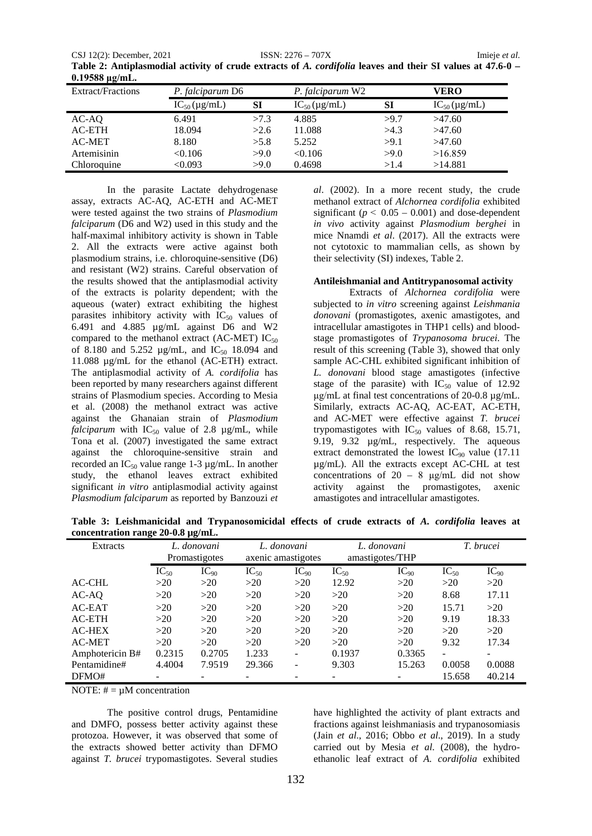CSJ 12(2): December, 2021 ISSN: 2276 – 707X Imieje *et al*. **Table 2: Antiplasmodial activity of crude extracts of** *A. cordifolia* **leaves and their SI values at 47.6-0 – 0.19588 μg/mL.**

| Extract/Fractions | P. falciparum D6          |      | P. falciparum W2          | VERO |                           |  |
|-------------------|---------------------------|------|---------------------------|------|---------------------------|--|
|                   | $IC_{50}(\mu\text{g/mL})$ | SI   | $IC_{50}(\mu\text{g/mL})$ | SI   | $IC_{50}(\mu\text{g/mL})$ |  |
| AC-AQ             | 6.491                     | >7.3 | 4.885                     | >9.7 | >47.60                    |  |
| <b>AC-ETH</b>     | 18.094                    | >2.6 | 11.088                    | >4.3 | >47.60                    |  |
| AC-MET            | 8.180                     | >5.8 | 5.252                     | >9.1 | >47.60                    |  |
| Artemisinin       | < 0.106                   | >9.0 | < 0.106                   | >9.0 | >16.859                   |  |
| Chloroquine       | <0.093                    | >9.0 | 0.4698                    | >1.4 | >14.881                   |  |

In the parasite Lactate dehydrogenase assay, extracts AC-AQ, AC-ETH and AC-MET were tested against the two strains of *Plasmodium falciparum* (D6 and W2) used in this study and the half-maximal inhibitory activity is shown in Table 2. All the extracts were active against both plasmodium strains, i.e. chloroquine-sensitive (D6) and resistant (W2) strains. Careful observation of the results showed that the antiplasmodial activity of the extracts is polarity dependent; with the aqueous (water) extract exhibiting the highest parasites inhibitory activity with  $IC_{50}$  values of 6.491 and 4.885 µg/mL against D6 and W2 compared to the methanol extract (AC-MET)  $IC_{50}$ of 8.180 and 5.252  $\mu$ g/mL, and IC<sub>50</sub> 18.094 and 11.088 µg/mL for the ethanol (AC-ETH) extract. The antiplasmodial activity of *A. cordifolia* has been reported by many researchers against different strains of Plasmodium species. According to Mesia et al. (2008) the methanol extract was active against the Ghanaian strain of *Plasmodium*   $falciparum$  with  $IC_{50}$  value of 2.8  $\mu$ g/mL, while Tona et al. (2007) investigated the same extract against the chloroquine-sensitive strain and recorded an  $IC_{50}$  value range 1-3  $\mu$ g/mL. In another study, the ethanol leaves extract exhibited significant *in vitro* antiplasmodial activity against *Plasmodium falciparum* as reported by Banzouzi *et*  *al*. (2002). In a more recent study, the crude methanol extract of *Alchornea cordifolia* exhibited significant ( $p < 0.05 - 0.001$ ) and dose-dependent *in vivo* activity against *Plasmodium berghei* in mice Nnamdi *et al*. (2017). All the extracts were not cytotoxic to mammalian cells, as shown by their selectivity (SI) indexes, Table 2.

#### **Antileishmanial and Antitrypanosomal activity**

Extracts of *Alchornea cordifolia* were subjected to *in vitro* screening against *Leishmania donovani* (promastigotes, axenic amastigotes, and intracellular amastigotes in THP1 cells) and bloodstage promastigotes of *Trypanosoma brucei*. The result of this screening (Table 3), showed that only sample AC-CHL exhibited significant inhibition of *L. donovani* blood stage amastigotes (infective stage of the parasite) with  $IC_{50}$  value of 12.92 μg/mL at final test concentrations of 20-0.8 µg/mL. Similarly, extracts AC-AQ, AC-EAT, AC-ETH, and AC-MET were effective against *T. brucei*  trypomastigotes with  $IC_{50}$  values of 8.68, 15.71, 9.19, 9.32 µg/mL, respectively. The aqueous extract demonstrated the lowest  $IC_{90}$  value (17.11) µg/mL). All the extracts except AC-CHL at test concentrations of  $20 - 8$  µg/mL did not show activity against the promastigotes, axenic amastigotes and intracellular amastigotes.

**Table 3: Leishmanicidal and Trypanosomicidal effects of crude extracts of** *A. cordifolia* **leaves at concentration range 20-0.8 µg/mL.**

| Extracts        | L. donovani<br>Promastigotes |           | L. donovani<br>axenic amastigotes |                          | L. donovani<br>amastigotes/THP |           | T. brucei                |           |
|-----------------|------------------------------|-----------|-----------------------------------|--------------------------|--------------------------------|-----------|--------------------------|-----------|
|                 | $IC_{50}$                    | $IC_{90}$ | $IC_{50}$                         | $IC_{90}$                | $IC_{50}$                      | $IC_{90}$ | $IC_{50}$                | $IC_{90}$ |
| AC-CHL          | >20                          | >20       | >20                               | >20                      | 12.92                          | >20       | >20                      | >20       |
| $AC-AQ$         | >20                          | >20       | >20                               | >20                      | >20                            | >20       | 8.68                     | 17.11     |
| AC-EAT          | >20                          | >20       | >20                               | >20                      | >20                            | >20       | 15.71                    | >20       |
| <b>AC-ETH</b>   | >20                          | >20       | >20                               | >20                      | >20                            | >20       | 9.19                     | 18.33     |
| <b>AC-HEX</b>   | >20                          | >20       | >20                               | >20                      | >20                            | >20       | >20                      | >20       |
| <b>AC-MET</b>   | >20                          | >20       | >20                               | >20                      | >20                            | >20       | 9.32                     | 17.34     |
| Amphotericin B# | 0.2315                       | 0.2705    | 1.233                             | ۰                        | 0.1937                         | 0.3365    | $\overline{\phantom{a}}$ |           |
| Pentamidine#    | 4.4004                       | 7.9519    | 29.366                            | $\overline{\phantom{a}}$ | 9.303                          | 15.263    | 0.0058                   | 0.0088    |
| DFMO#           |                              |           |                                   |                          |                                |           | 15.658                   | 40.214    |

NOTE:  $# = \mu M$  concentration

The positive control drugs, Pentamidine and DMFO, possess better activity against these protozoa. However, it was observed that some of the extracts showed better activity than DFMO against *T. brucei* trypomastigotes. Several studies

have highlighted the activity of plant extracts and fractions against leishmaniasis and trypanosomiasis (Jain *et al*., 2016; Obbo *et al*., 2019). In a study carried out by Mesia *et al*. (2008), the hydroethanolic leaf extract of *A. cordifolia* exhibited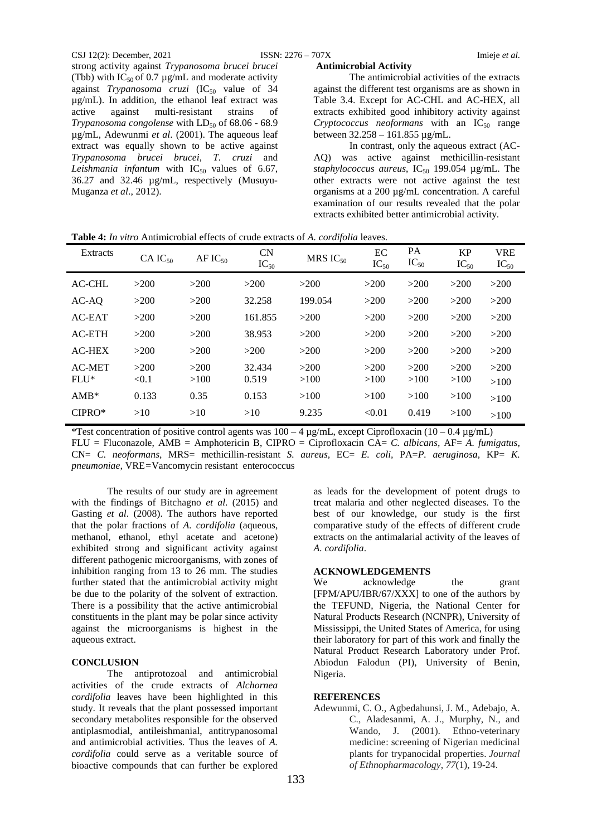#### CSJ 12(2): December, 2021 ISSN: 2276 – 707X Imieje *et al*.

Muganza *et al*., 2012).

against *Trypanosoma cruzi*  $(IC_{50}$  value of 34 µg/mL). In addition, the ethanol leaf extract was active against multi-resistant strains of *Trypanosoma congolense* with  $LD_{50}$  of 68.06 - 68.9 µg/mL, Adewunmi *et al*. (2001). The aqueous leaf extract was equally shown to be active against *Trypanosoma brucei brucei*, *T. cruzi* and *Leishmania infantum* with  $IC_{50}$  values of 6.67, 36.27 and 32.46 µg/mL, respectively (Musuyu-

strong activity against *Trypanosoma brucei brucei* (Tbb) with  $IC_{50}$  of 0.7  $\mu$ g/mL and moderate activity **Antimicrobial Activity** 

The antimicrobial activities of the extracts against the different test organisms are as shown in Table 3.4. Except for AC-CHL and AC-HEX, all extracts exhibited good inhibitory activity against *Cryptococcus neoformans* with an IC<sub>50</sub> range between 32.258 – 161.855 µg/mL.

In contrast, only the aqueous extract (AC-AQ) was active against methicillin-resistant *staphylococcus aureus*,  $IC_{50}$  199.054  $\mu$ g/mL. The other extracts were not active against the test organisms at a 200 µg/mL concentration. A careful examination of our results revealed that the polar extracts exhibited better antimicrobial activity.

|  |  |  |  | Table 4: In vitro Antimicrobial effects of crude extracts of A. cordifolia leaves. |
|--|--|--|--|------------------------------------------------------------------------------------|
|--|--|--|--|------------------------------------------------------------------------------------|

| <b>Extracts</b>         | $CAIC_{50}$   | $AFIC_{50}$  | <b>CN</b><br>$IC_{50}$ | MRS $IC_{50}$ | EC<br>$IC_{50}$ | PA<br>$IC_{50}$ | KP<br>$IC_{50}$ | <b>VRE</b><br>$IC_{50}$ |
|-------------------------|---------------|--------------|------------------------|---------------|-----------------|-----------------|-----------------|-------------------------|
| <b>AC-CHL</b>           | >200          | >200         | >200                   | >200          | >200            | >200            | >200            | >200                    |
| AC-AO                   | >200          | >200         | 32.258                 | 199.054       | >200            | >200            | >200            | >200                    |
| AC-EAT                  | >200          | >200         | 161.855                | >200          | >200            | >200            | >200            | >200                    |
| AC-ETH                  | >200          | >200         | 38.953                 | >200          | >200            | >200            | >200            | >200                    |
| <b>AC-HEX</b>           | >200          | >200         | >200                   | >200          | >200            | >200            | >200            | >200                    |
| <b>AC-MET</b><br>$FLU*$ | >200<br>< 0.1 | >200<br>>100 | 32.434<br>0.519        | >200<br>>100  | >200<br>>100    | >200<br>>100    | >200<br>>100    | >200<br>>100            |
| $AMB*$                  | 0.133         | 0.35         | 0.153                  | >100          | >100            | >100            | >100            | >100                    |
| $CIPRO*$                | >10           | >10          | >10                    | 9.235         | < 0.01          | 0.419           | >100            | >100                    |

\*Test concentration of positive control agents was  $100 - 4 \mu g/mL$ , except Ciprofloxacin  $(10 - 0.4 \mu g/mL)$ 

FLU = Fluconazole, AMB = Amphotericin B, CIPRO = Ciprofloxacin CA= *C. albicans,* AF= *A. fumigatus,*  CN= *C. neoformans,* MRS= methicillin-resistant *S. aureus,* EC= *E. coli,* PA=*P. aeruginosa,* KP= *K. pneumoniae,* VRE*=*Vancomycin resistant enterococcus

The results of our study are in agreement with the findings of Bitchagno *et al*. (2015) and Gasting *et al*. (2008). The authors have reported that the polar fractions of *A. cordifolia* (aqueous, methanol, ethanol, ethyl acetate and acetone) exhibited strong and significant activity against different pathogenic microorganisms, with zones of inhibition ranging from 13 to 26 mm. The studies further stated that the antimicrobial activity might be due to the polarity of the solvent of extraction. There is a possibility that the active antimicrobial constituents in the plant may be polar since activity against the microorganisms is highest in the aqueous extract.

## **CONCLUSION**

The antiprotozoal and antimicrobial activities of the crude extracts of *Alchornea cordifolia* leaves have been highlighted in this study. It reveals that the plant possessed important secondary metabolites responsible for the observed antiplasmodial, antileishmanial, antitrypanosomal and antimicrobial activities. Thus the leaves of *A. cordifolia* could serve as a veritable source of bioactive compounds that can further be explored

as leads for the development of potent drugs to treat malaria and other neglected diseases. To the best of our knowledge, our study is the first comparative study of the effects of different crude extracts on the antimalarial activity of the leaves of *A. cordifolia*.

## **ACKNOWLEDGEMENTS**

We acknowledge the grant [FPM/APU/IBR/67/XXX] to one of the authors by the TEFUND, Nigeria, the National Center for Natural Products Research (NCNPR), University of Mississippi, the United States of America, for using their laboratory for part of this work and finally the Natural Product Research Laboratory under Prof. Abiodun Falodun (PI), University of Benin, Nigeria.

#### **REFERENCES**

Adewunmi, C. O., Agbedahunsi, J. M., Adebajo, A. C., Aladesanmi, A. J., Murphy, N., and Wando, J. (2001). Ethno-veterinary medicine: screening of Nigerian medicinal plants for trypanocidal properties. *Journal of Ethnopharmacology*, *77*(1), 19-24.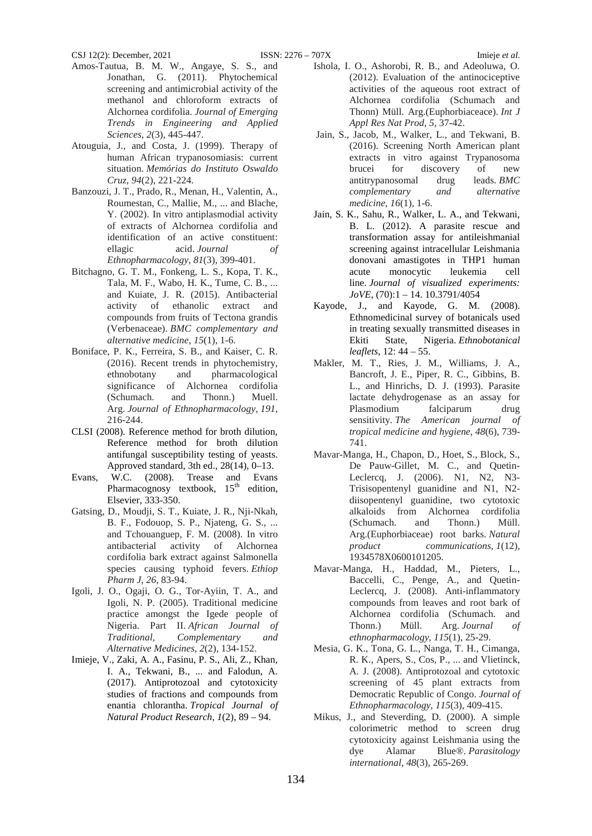- Atouguia, J., and Costa, J. (1999). Therapy of human African trypanosomiasis: current situation. *Memórias do Instituto Oswaldo Cruz*, *94*(2), 221-224.
- Banzouzi, J. T., Prado, R., Menan, H., Valentin, A., Roumestan, C., Mallie, M., ... and Blache, Y. (2002). In vitro antiplasmodial activity of extracts of Alchornea cordifolia and identification of an active constituent: ellagic acid. *Journal of Ethnopharmacology*, *81*(3), 399-401.
- Bitchagno, G. T. M., Fonkeng, L. S., Kopa, T. K., Tala, M. F., Wabo, H. K., Tume, C. B., ... and Kuiate, J. R. (2015). Antibacterial activity of ethanolic extract and compounds from fruits of Tectona grandis (Verbenaceae). *BMC complementary and alternative medicine*, *15*(1), 1-6.
- Boniface, P. K., Ferreira, S. B., and Kaiser, C. R. (2016). Recent trends in phytochemistry,<br>ethnobotany and pharmacological and pharmacological significance of Alchornea cordifolia (Schumach. and Thonn.) Muell. Arg. *Journal of Ethnopharmacology*, *191*, 216-244.
- CLSI (2008). Reference method for broth dilution, Reference method for broth dilution antifungal susceptibility testing of yeasts. Approved standard, 3th ed., 28(14), 0–13.
- Evans, W.C. (2008). Trease and Evans Pharmacognosy textbook, 15<sup>th</sup> edition, Elsevier, 333-350.
- Gatsing, D., Moudji, S. T., Kuiate, J. R., Nji-Nkah, B. F., Fodouop, S. P., Njateng, G. S., ... and Tchouanguep, F. M. (2008). In vitro antibacterial activity of Alchornea cordifolia bark extract against Salmonella species causing typhoid fevers. *Ethiop Pharm J*, *26*, 83-94.
- Igoli, J. O., Ogaji, O. G., Tor-Ayiin, T. A., and Igoli, N. P. (2005). Traditional medicine practice amongst the Igede people of Nigeria. Part II. *African Journal of Traditional, Complementary and Alternative Medicines*, *2*(2), 134-152.
- Imieje, V., Zaki, A. A., Fasinu, P. S., Ali, Z., Khan, I. A., Tekwani, B., ... and Falodun, A. (2017). Antiprotozoal and cytotoxicity studies of fractions and compounds from enantia chlorantha. *Tropical Journal of Natural Product Research*, *1*(2), 89 – 94.

Ishola, I. O., Ashorobi, R. B., and Adeoluwa, O. (2012). Evaluation of the antinociceptive activities of the aqueous root extract of Alchornea cordifolia (Schumach and

Thonn) Müll. Arg.(Euphorbiaceace). *Int J* 

- *Appl Res Nat Prod*, *5*, 37-42. Jain, S., Jacob, M., Walker, L., and Tekwani, B. (2016). Screening North American plant extracts in vitro against Trypanosoma<br>brucei for discovery of new for discovery of new antitrypanosomal drug leads. *BMC complementary and alternative medicine*, *16*(1), 1-6.
- Jain, S. K., Sahu, R., Walker, L. A., and Tekwani, B. L. (2012). A parasite rescue and transformation assay for antileishmanial screening against intracellular Leishmania donovani amastigotes in THP1 human acute monocytic leukemia cell line. *Journal of visualized experiments: JoVE*, (70):1 – 14. 10.3791/4054
- Kayode, J., and Kayode, G. M. (2008). Ethnomedicinal survey of botanicals used in treating sexually transmitted diseases in Ekiti State, Nigeria. *Ethnobotanical leaflets*, 12: 44 – 55.
- Makler, M. T., Ries, J. M., Williams, J. A., Bancroft, J. E., Piper, R. C., Gibbins, B. L., and Hinrichs, D. J. (1993). Parasite lactate dehydrogenase as an assay for Plasmodium falciparum drug sensitivity. *The American journal of tropical medicine and hygiene*, *48*(6), 739- 741.
- Mavar-Manga, H., Chapon, D., Hoet, S., Block, S., De Pauw-Gillet, M. C., and Quetin-Leclercq, J. (2006). N1, N2, N3- Trisisopentenyl guanidine and N1, N2 diisopentenyl guanidine, two cytotoxic alkaloids from Alchornea cordifolia (Schumach. and Thonn.) Müll. Arg.(Euphorbiaceae) root barks. *Natural product communications*, *1*(12), 1934578X0600101205.
- Mavar-Manga, H., Haddad, M., Pieters, L., Baccelli, C., Penge, A., and Quetin-Leclercq, J. (2008). Anti-inflammatory compounds from leaves and root bark of Alchornea cordifolia (Schumach. and Thonn.) Müll. Arg. *Journal of ethnopharmacology*, *115*(1), 25-29.
- Mesia, G. K., Tona, G. L., Nanga, T. H., Cimanga, R. K., Apers, S., Cos, P., ... and Vlietinck, A. J. (2008). Antiprotozoal and cytotoxic screening of 45 plant extracts from Democratic Republic of Congo. *Journal of Ethnopharmacology*, *115*(3), 409-415.
- Mikus, J., and Steverding, D. (2000). A simple colorimetric method to screen drug cytotoxicity against Leishmania using the dye Alamar Blue®. *Parasitology international*, *48*(3), 265-269.